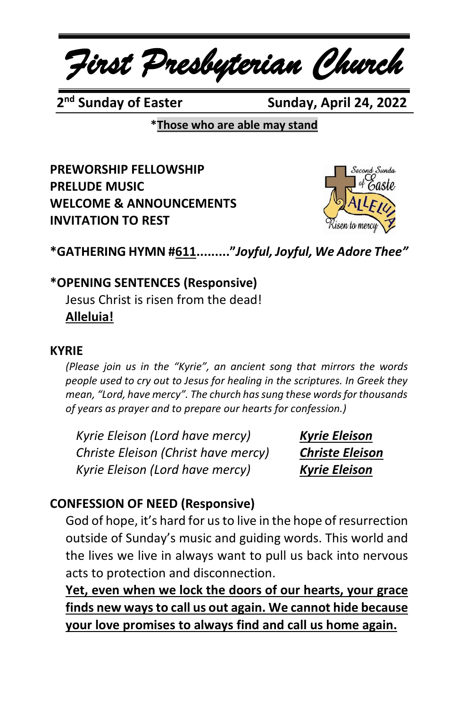*First Presbyterian Church*

2<sup>nd</sup> Sunday of Easter

**Sunday, April 24, 2022** 

**\*Those who are able may stand**

**PREWORSHIP FELLOWSHIP PRELUDE MUSIC WELCOME & ANNOUNCEMENTS INVITATION TO REST**



**\*GATHERING HYMN #611........."***Joyful, Joyful, We Adore Thee"*

**\*OPENING SENTENCES (Responsive)** Jesus Christ is risen from the dead! **Alleluia!**

#### **KYRIE**

*(Please join us in the "Kyrie", an ancient song that mirrors the words people used to cry out to Jesus for healing in the scriptures. In Greek they mean, "Lord, have mercy". The church has sung these words for thousands of years as prayer and to prepare our hearts for confession.)*

*Kyrie Eleison (Lord have mercy) Kyrie Eleison Christe Eleison (Christ have mercy) Christe Eleison Kyrie Eleison (Lord have mercy) Kyrie Eleison*

## **CONFESSION OF NEED (Responsive)**

God of hope, it's hard for us to live in the hope of resurrection outside of Sunday's music and guiding words. This world and the lives we live in always want to pull us back into nervous acts to protection and disconnection.

**Yet, even when we lock the doors of our hearts, your grace finds new waysto call us out again. We cannot hide because your love promises to always find and call us home again.**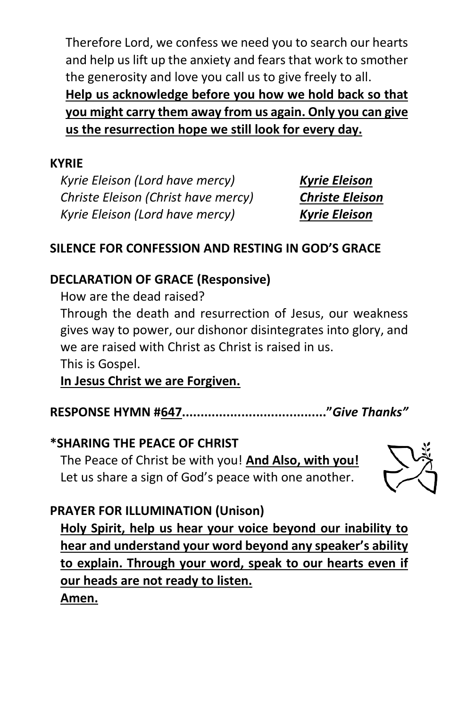Therefore Lord, we confess we need you to search our hearts and help us lift up the anxiety and fears that work to smother the generosity and love you call us to give freely to all. **Help us acknowledge before you how we hold back so that you might carry them away from us again. Only you can give us the resurrection hope we still look for every day.**

### **KYRIE**

*Kyrie Eleison (Lord have mercy) Kyrie Eleison Christe Eleison (Christ have mercy) Christe Eleison Kyrie Eleison (Lord have mercy) Kyrie Eleison*

## **SILENCE FOR CONFESSION AND RESTING IN GOD'S GRACE**

## **DECLARATION OF GRACE (Responsive)**

How are the dead raised?

Through the death and resurrection of Jesus, our weakness gives way to power, our dishonor disintegrates into glory, and we are raised with Christ as Christ is raised in us.

This is Gospel.

**In Jesus Christ we are Forgiven.**

**RESPONSE HYMN #647......................................."***Give Thanks"*

## **\*SHARING THE PEACE OF CHRIST**

The Peace of Christ be with you! **And Also, with you!** Let us share a sign of God's peace with one another.



# **PRAYER FOR ILLUMINATION (Unison)**

**Holy Spirit, help us hear your voice beyond our inability to hear and understand your word beyond any speaker's ability to explain. Through your word, speak to our hearts even if our heads are not ready to listen. Amen.**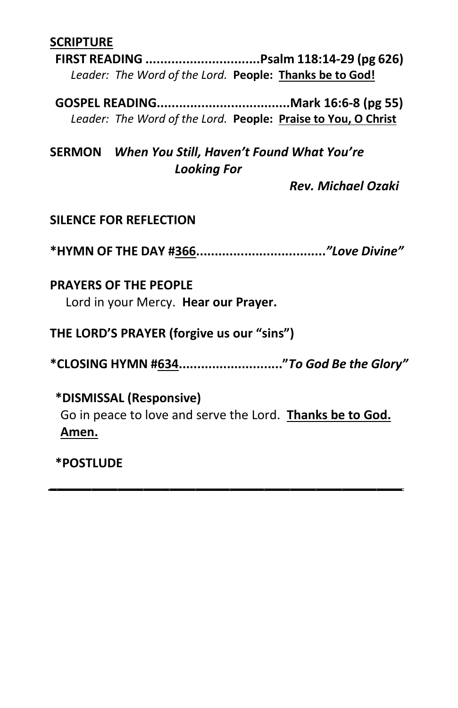#### **SCRIPTURE**

**FIRST READING ...............................Psalm 118:14-29 (pg 626)** *Leader: The Word of the Lord.* **People: Thanks be to God!**

**GOSPEL READING....................................Mark 16:6-8 (pg 55)** *Leader: The Word of the Lord.* **People: Praise to You, O Christ**

#### **SERMON** *When You Still, Haven't Found What You're Looking For*

 *Rev. Michael Ozaki*

#### **SILENCE FOR REFLECTION**

**\*HYMN OF THE DAY #366...................................***"Love Divine"*

#### **PRAYERS OF THE PEOPLE** Lord in your Mercy. **Hear our Prayer.**

**THE LORD'S PRAYER (forgive us our "sins")**

**\*CLOSING HYMN #634............................"***To God Be the Glory"*

 **\*DISMISSAL (Responsive)** Go in peace to love and serve the Lord. **Thanks be to God. Amen.**

*\_\_\_\_\_\_\_\_\_\_\_\_\_\_\_\_\_\_\_\_\_\_\_\_\_\_\_\_\_\_\_\_\_\_\_\_\_\_\_\_\_*

**\*POSTLUDE**